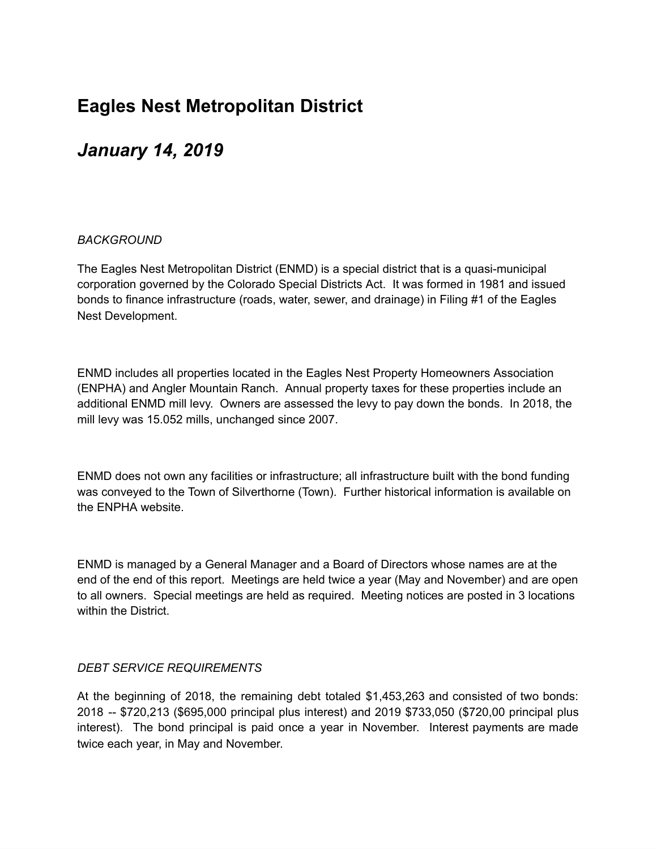## **Eagles Nest Metropolitan District**

## *January 14, 2019*

## *BACKGROUND*

The Eagles Nest Metropolitan District (ENMD) is a special district that is a quasi-municipal corporation governed by the Colorado Special Districts Act. It was formed in 1981 and issued bonds to finance infrastructure (roads, water, sewer, and drainage) in Filing #1 of the Eagles Nest Development.

ENMD includes all properties located in the Eagles Nest Property Homeowners Association (ENPHA) and Angler Mountain Ranch. Annual property taxes for these properties include an additional ENMD mill levy. Owners are assessed the levy to pay down the bonds. In 2018, the mill levy was 15.052 mills, unchanged since 2007.

ENMD does not own any facilities or infrastructure; all infrastructure built with the bond funding was conveyed to the Town of Silverthorne (Town). Further historical information is available on the ENPHA website.

ENMD is managed by a General Manager and a Board of Directors whose names are at the end of the end of this report. Meetings are held twice a year (May and November) and are open to all owners. Special meetings are held as required. Meeting notices are posted in 3 locations within the District.

## *DEBT SERVICE REQUIREMENTS*

At the beginning of 2018, the remaining debt totaled \$1,453,263 and consisted of two bonds: 2018 -- \$720,213 (\$695,000 principal plus interest) and 2019 \$733,050 (\$720,00 principal plus interest). The bond principal is paid once a year in November. Interest payments are made twice each year, in May and November.